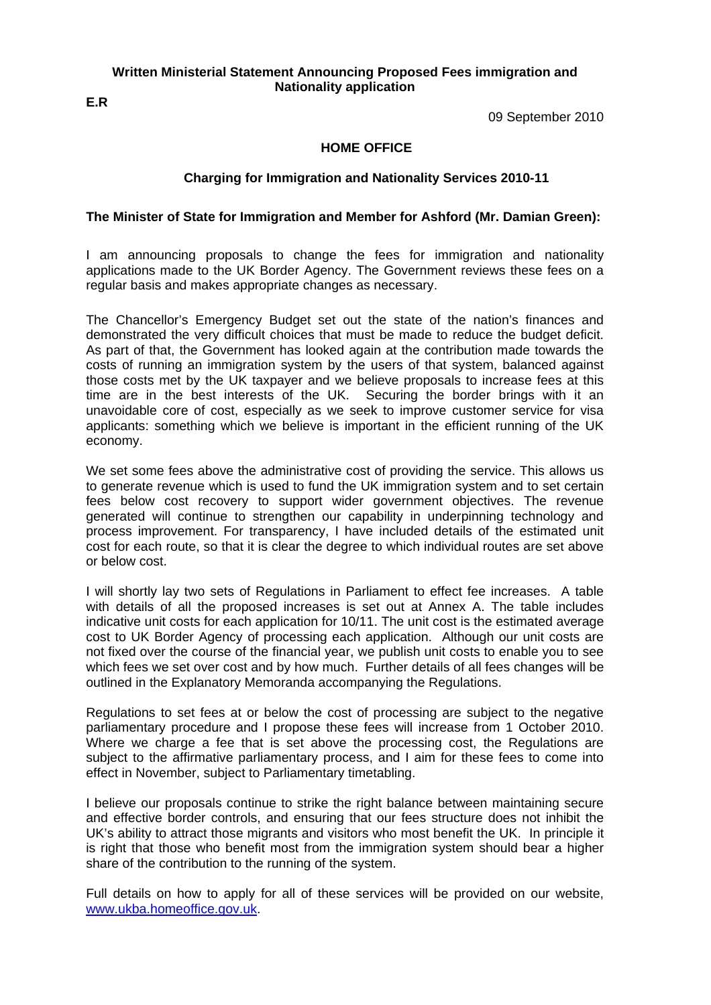### **Written Ministerial Statement Announcing Proposed Fees immigration and Nationality application**

**E.R** 

09 September 2010

### **HOME OFFICE**

## **Charging for Immigration and Nationality Services 2010-11**

## **The Minister of State for Immigration and Member for Ashford (Mr. Damian Green):**

I am announcing proposals to change the fees for immigration and nationality applications made to the UK Border Agency. The Government reviews these fees on a regular basis and makes appropriate changes as necessary.

The Chancellor's Emergency Budget set out the state of the nation's finances and demonstrated the very difficult choices that must be made to reduce the budget deficit. As part of that, the Government has looked again at the contribution made towards the costs of running an immigration system by the users of that system, balanced against those costs met by the UK taxpayer and we believe proposals to increase fees at this time are in the best interests of the UK. Securing the border brings with it an unavoidable core of cost, especially as we seek to improve customer service for visa applicants: something which we believe is important in the efficient running of the UK economy.

We set some fees above the administrative cost of providing the service. This allows us to generate revenue which is used to fund the UK immigration system and to set certain fees below cost recovery to support wider government objectives. The revenue generated will continue to strengthen our capability in underpinning technology and process improvement. For transparency, I have included details of the estimated unit cost for each route, so that it is clear the degree to which individual routes are set above or below cost.

I will shortly lay two sets of Regulations in Parliament to effect fee increases. A table with details of all the proposed increases is set out at Annex A. The table includes indicative unit costs for each application for 10/11. The unit cost is the estimated average cost to UK Border Agency of processing each application. Although our unit costs are not fixed over the course of the financial year, we publish unit costs to enable you to see which fees we set over cost and by how much. Further details of all fees changes will be outlined in the Explanatory Memoranda accompanying the Regulations.

Regulations to set fees at or below the cost of processing are subject to the negative parliamentary procedure and I propose these fees will increase from 1 October 2010. Where we charge a fee that is set above the processing cost, the Regulations are subject to the affirmative parliamentary process, and I aim for these fees to come into effect in November, subject to Parliamentary timetabling.

I believe our proposals continue to strike the right balance between maintaining secure and effective border controls, and ensuring that our fees structure does not inhibit the UK's ability to attract those migrants and visitors who most benefit the UK. In principle it is right that those who benefit most from the immigration system should bear a higher share of the contribution to the running of the system.

Full details on how to apply for all of these services will be provided on our website, [www.ukba.homeoffice.gov.uk](http://www.ukba.homeoffice.gov.uk/).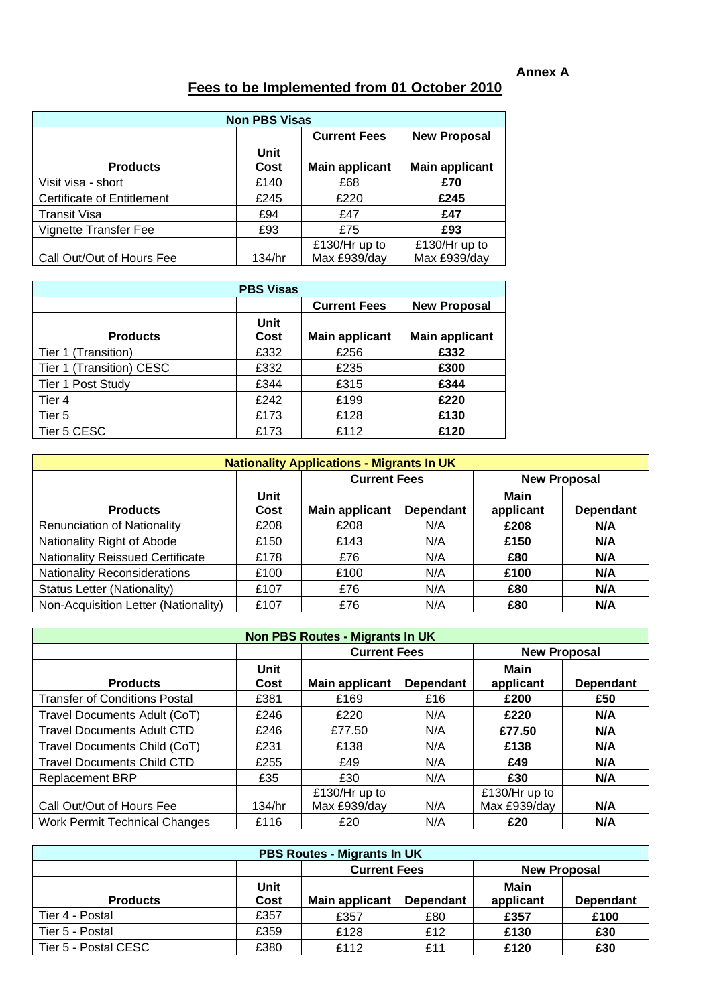|                                   | <b>Non PBS Visas</b> |                               |                               |  |  |  |  |  |
|-----------------------------------|----------------------|-------------------------------|-------------------------------|--|--|--|--|--|
|                                   |                      | <b>Current Fees</b>           | <b>New Proposal</b>           |  |  |  |  |  |
| <b>Products</b>                   | Unit<br>Cost         | <b>Main applicant</b>         | <b>Main applicant</b>         |  |  |  |  |  |
| Visit visa - short                | £140                 | £68                           | £70                           |  |  |  |  |  |
| <b>Certificate of Entitlement</b> | £245                 | £220                          | £245                          |  |  |  |  |  |
| <b>Transit Visa</b>               | £94                  | £47                           | £47                           |  |  |  |  |  |
| Vignette Transfer Fee             | £93                  | £75                           | £93                           |  |  |  |  |  |
| Call Out/Out of Hours Fee         | 134/hr               | £130/Hr up to<br>Max £939/day | £130/Hr up to<br>Max £939/day |  |  |  |  |  |

# **Fees to be Implemented from 01 October 2010**

| <b>PBS Visas</b>         |              |                       |                       |  |  |  |  |
|--------------------------|--------------|-----------------------|-----------------------|--|--|--|--|
|                          |              | <b>Current Fees</b>   | <b>New Proposal</b>   |  |  |  |  |
| <b>Products</b>          | Unit<br>Cost | <b>Main applicant</b> | <b>Main applicant</b> |  |  |  |  |
| Tier 1 (Transition)      | £332         | £256                  | £332                  |  |  |  |  |
| Tier 1 (Transition) CESC | £332         | £235                  | £300                  |  |  |  |  |
| Tier 1 Post Study        | £344         | £315                  | £344                  |  |  |  |  |
| Tier 4                   | £242         | £199                  | £220                  |  |  |  |  |
| Tier 5                   | £173         | £128                  | £130                  |  |  |  |  |
| Tier 5 CESC              | £173         | £112                  | £120                  |  |  |  |  |

| <b>Nationality Applications - Migrants In UK</b> |              |                       |                  |                   |                     |  |  |
|--------------------------------------------------|--------------|-----------------------|------------------|-------------------|---------------------|--|--|
|                                                  |              | <b>Current Fees</b>   |                  |                   | <b>New Proposal</b> |  |  |
| <b>Products</b>                                  | Unit<br>Cost | <b>Main applicant</b> | <b>Dependant</b> | Main<br>applicant | <b>Dependant</b>    |  |  |
| <b>Renunciation of Nationality</b>               | £208         | £208                  | N/A              | £208              | N/A                 |  |  |
| Nationality Right of Abode                       | £150         | £143                  | N/A              | £150              | N/A                 |  |  |
| <b>Nationality Reissued Certificate</b>          | £178         | £76                   | N/A              | £80               | N/A                 |  |  |
| <b>Nationality Reconsiderations</b>              | £100         | £100                  | N/A              | £100              | N/A                 |  |  |
| <b>Status Letter (Nationality)</b>               | £107         | £76                   | N/A              | £80               | N/A                 |  |  |
| Non-Acquisition Letter (Nationality)             | £107         | £76                   | N/A              | £80               | N/A                 |  |  |

| <b>Non PBS Routes - Migrants In UK</b> |                     |                               |                  |                               |                  |  |
|----------------------------------------|---------------------|-------------------------------|------------------|-------------------------------|------------------|--|
|                                        |                     | <b>Current Fees</b>           |                  | <b>New Proposal</b>           |                  |  |
| <b>Products</b>                        | <b>Unit</b><br>Cost | <b>Main applicant</b>         | <b>Dependant</b> | Main<br>applicant             | <b>Dependant</b> |  |
| <b>Transfer of Conditions Postal</b>   | £381                | £169                          | £16              | £200                          | £50              |  |
| Travel Documents Adult (CoT)           | £246                | £220                          | N/A              | £220                          | N/A              |  |
| <b>Travel Documents Adult CTD</b>      | £246                | £77.50                        | N/A              | £77.50                        | N/A              |  |
| Travel Documents Child (CoT)           | £231                | £138                          | N/A              | £138                          | N/A              |  |
| <b>Travel Documents Child CTD</b>      | £255                | £49                           | N/A              | £49                           | N/A              |  |
| <b>Replacement BRP</b>                 | £35                 | £30                           | N/A              | £30                           | N/A              |  |
| Call Out/Out of Hours Fee              | 134/hr              | £130/Hr up to<br>Max £939/day | N/A              | £130/Hr up to<br>Max £939/day | N/A              |  |
| <b>Work Permit Technical Changes</b>   | £116                | £20                           | N/A              | £20                           | N/A              |  |

| <b>PBS Routes - Migrants In UK</b> |      |                     |                  |                     |                  |  |  |  |
|------------------------------------|------|---------------------|------------------|---------------------|------------------|--|--|--|
|                                    |      | <b>Current Fees</b> |                  | <b>New Proposal</b> |                  |  |  |  |
|                                    | Unit |                     |                  | Main                |                  |  |  |  |
| <b>Products</b>                    | Cost | Main applicant      | <b>Dependant</b> | applicant           | <b>Dependant</b> |  |  |  |
| Tier 4 - Postal                    | £357 | £357                | £80              | £357                | £100             |  |  |  |
| Tier 5 - Postal                    | £359 | £128                | £12              | £130                | £30              |  |  |  |
| Tier 5 - Postal CESC               | £380 | £112                | £11              | £120                | £30              |  |  |  |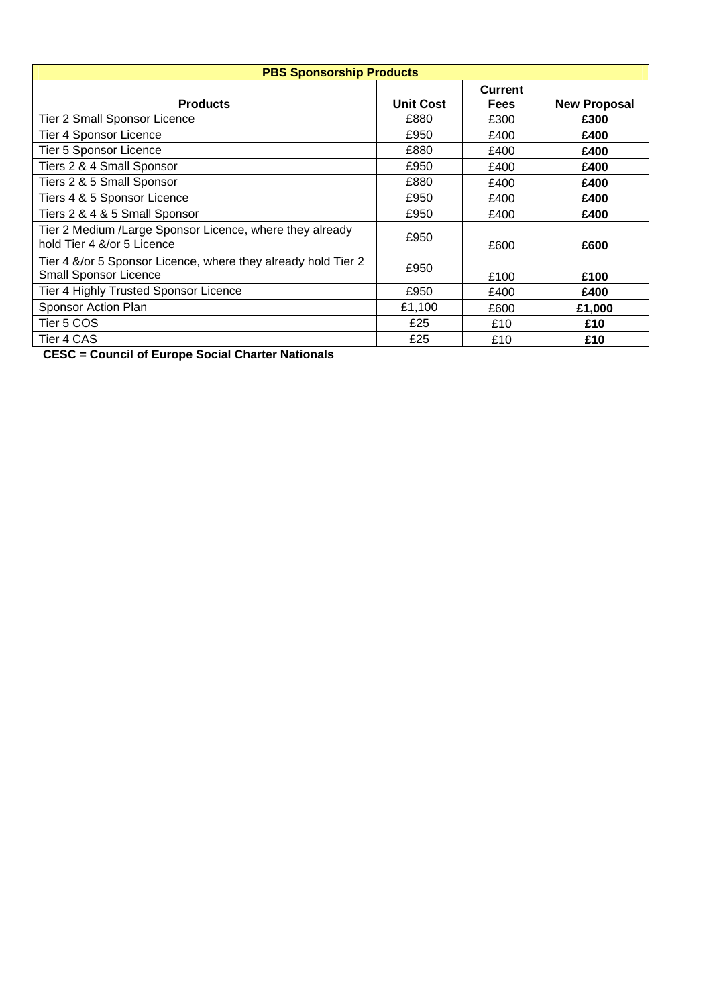| <b>PBS Sponsorship Products</b>                                                               |                  |                               |                     |  |  |  |  |
|-----------------------------------------------------------------------------------------------|------------------|-------------------------------|---------------------|--|--|--|--|
| <b>Products</b>                                                                               | <b>Unit Cost</b> | <b>Current</b><br><b>Fees</b> | <b>New Proposal</b> |  |  |  |  |
| Tier 2 Small Sponsor Licence                                                                  | £880             | £300                          | £300                |  |  |  |  |
| <b>Tier 4 Sponsor Licence</b>                                                                 | £950             | £400                          | £400                |  |  |  |  |
| Tier 5 Sponsor Licence                                                                        | £880             | £400                          | £400                |  |  |  |  |
| Tiers 2 & 4 Small Sponsor                                                                     | £950             | £400                          | £400                |  |  |  |  |
| Tiers 2 & 5 Small Sponsor                                                                     | £880             | £400                          | £400                |  |  |  |  |
| Tiers 4 & 5 Sponsor Licence                                                                   | £950             | £400                          | £400                |  |  |  |  |
| Tiers 2 & 4 & 5 Small Sponsor                                                                 | £950             | £400                          | £400                |  |  |  |  |
| Tier 2 Medium /Large Sponsor Licence, where they already<br>hold Tier 4 &/or 5 Licence        | £950             | £600                          | £600                |  |  |  |  |
| Tier 4 &/or 5 Sponsor Licence, where they already hold Tier 2<br><b>Small Sponsor Licence</b> | £950             | £100                          | £100                |  |  |  |  |
| Tier 4 Highly Trusted Sponsor Licence                                                         | £950             | £400                          | £400                |  |  |  |  |
| Sponsor Action Plan                                                                           | £1,100           | £600                          | £1,000              |  |  |  |  |
| Tier 5 COS                                                                                    | £25              | £10                           | £10                 |  |  |  |  |
| Tier 4 CAS                                                                                    | £25              | £10                           | £10                 |  |  |  |  |

**CESC = Council of Europe Social Charter Nationals**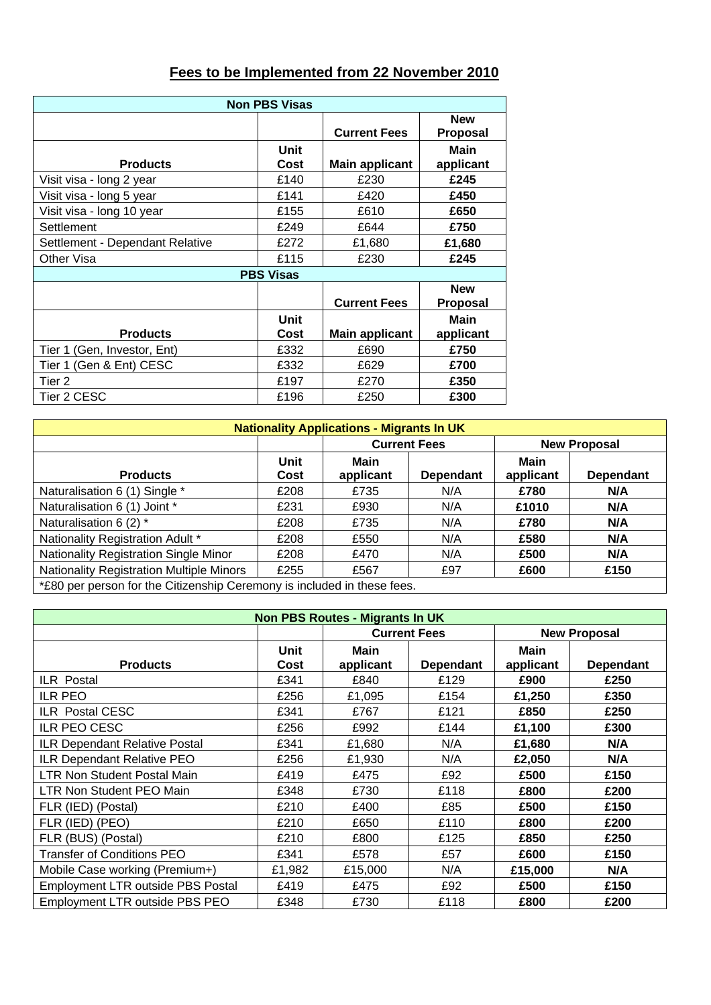| Fees to be Implemented from 22 November 2010 |  |
|----------------------------------------------|--|
|----------------------------------------------|--|

| <b>Non PBS Visas</b>            |                  |                       |                               |  |  |  |
|---------------------------------|------------------|-----------------------|-------------------------------|--|--|--|
|                                 |                  | <b>Current Fees</b>   | <b>New</b><br><b>Proposal</b> |  |  |  |
| <b>Products</b>                 | Unit<br>Cost     | <b>Main applicant</b> | Main<br>applicant             |  |  |  |
| Visit visa - long 2 year        | £140             | £230                  | £245                          |  |  |  |
| Visit visa - long 5 year        | £141             | £420                  | £450                          |  |  |  |
| Visit visa - long 10 year       | £155             | £610                  | £650                          |  |  |  |
| Settlement                      | £249             | £644                  | £750                          |  |  |  |
| Settlement - Dependant Relative | £272             | £1,680                | £1,680                        |  |  |  |
| Other Visa                      | £115             | £230                  | £245                          |  |  |  |
|                                 | <b>PBS Visas</b> |                       |                               |  |  |  |
|                                 |                  | <b>Current Fees</b>   | <b>New</b><br><b>Proposal</b> |  |  |  |
| <b>Products</b>                 | Unit<br>Cost     | <b>Main applicant</b> | <b>Main</b><br>applicant      |  |  |  |
| Tier 1 (Gen, Investor, Ent)     | £332             | £690                  | £750                          |  |  |  |
| Tier 1 (Gen & Ent) CESC         | £332             | £629                  | £700                          |  |  |  |
| Tier 2                          | £197             | £270                  | £350                          |  |  |  |
| Tier 2 CESC                     | £196             | £250                  | £300                          |  |  |  |

| <b>Nationality Applications - Migrants In UK</b>                        |              |                   |                     |                   |                     |  |
|-------------------------------------------------------------------------|--------------|-------------------|---------------------|-------------------|---------------------|--|
|                                                                         |              |                   | <b>Current Fees</b> |                   | <b>New Proposal</b> |  |
| <b>Products</b>                                                         | Unit<br>Cost | Main<br>applicant | <b>Dependant</b>    | Main<br>applicant | <b>Dependant</b>    |  |
| Naturalisation 6 (1) Single *                                           | £208         | £735              | N/A                 | £780              | N/A                 |  |
| Naturalisation 6 (1) Joint *                                            | £231         | £930              | N/A                 | £1010             | N/A                 |  |
| Naturalisation 6 (2) *                                                  | £208         | £735              | N/A                 | £780              | N/A                 |  |
| Nationality Registration Adult *                                        | £208         | £550              | N/A                 | £580              | N/A                 |  |
| <b>Nationality Registration Single Minor</b>                            | £208         | £470              | N/A                 | £500              | N/A                 |  |
| <b>Nationality Registration Multiple Minors</b>                         | £255         | £567              | £97                 | £600              | £150                |  |
| *£80 per person for the Citizenship Ceremony is included in these fees. |              |                   |                     |                   |                     |  |

| <b>Non PBS Routes - Migrants In UK</b>   |              |                          |                     |                   |                     |  |
|------------------------------------------|--------------|--------------------------|---------------------|-------------------|---------------------|--|
|                                          |              |                          | <b>Current Fees</b> |                   | <b>New Proposal</b> |  |
| <b>Products</b>                          | Unit<br>Cost | <b>Main</b><br>applicant | <b>Dependant</b>    | Main<br>applicant | <b>Dependant</b>    |  |
| ILR Postal                               | £341         | £840                     | £129                | £900              | £250                |  |
| <b>ILR PEO</b>                           | £256         | £1,095                   | £154                | £1,250            | £350                |  |
| <b>ILR Postal CESC</b>                   | £341         | £767                     | £121                | £850              | £250                |  |
| ILR PEO CESC                             | £256         | £992                     | £144                | £1,100            | £300                |  |
| ILR Dependant Relative Postal            | £341         | £1,680                   | N/A                 | £1,680            | N/A                 |  |
| <b>ILR Dependant Relative PEO</b>        | £256         | £1,930                   | N/A                 | £2,050            | N/A                 |  |
| <b>LTR Non Student Postal Main</b>       | £419         | £475                     | £92                 | £500              | £150                |  |
| LTR Non Student PEO Main                 | £348         | £730                     | £118                | £800              | £200                |  |
| FLR (IED) (Postal)                       | £210         | £400                     | £85                 | £500              | £150                |  |
| FLR (IED) (PEO)                          | £210         | £650                     | £110                | £800              | £200                |  |
| FLR (BUS) (Postal)                       | £210         | £800                     | £125                | £850              | £250                |  |
| <b>Transfer of Conditions PEO</b>        | £341         | £578                     | £57                 | £600              | £150                |  |
| Mobile Case working (Premium+)           | £1,982       | £15,000                  | N/A                 | £15,000           | N/A                 |  |
| <b>Employment LTR outside PBS Postal</b> | £419         | £475                     | £92                 | £500              | £150                |  |
| <b>Employment LTR outside PBS PEO</b>    | £348         | £730                     | £118                | £800              | £200                |  |